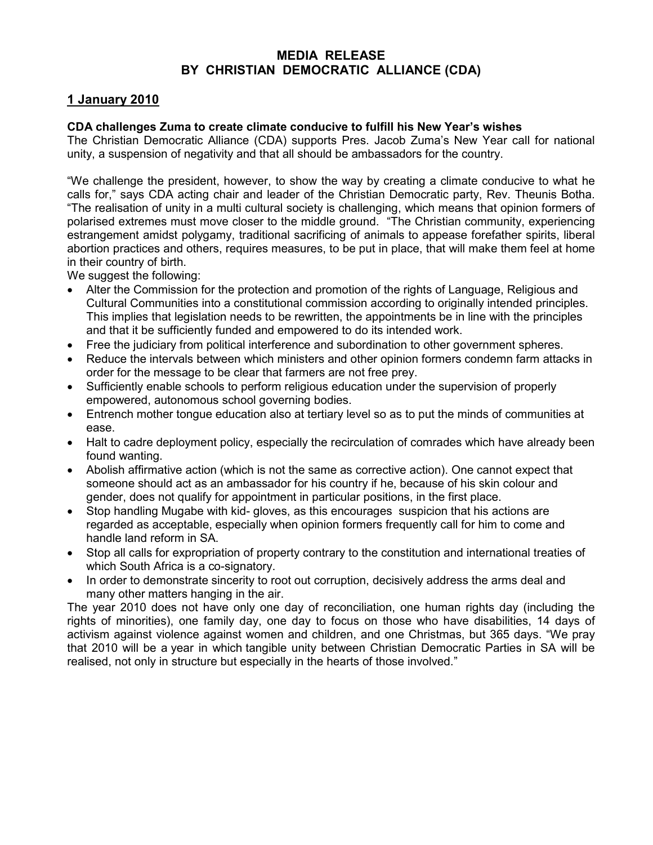## MEDIA RELEASE BY CHRISTIAN DEMOCRATIC ALLIANCE (CDA)

## 1 January 2010

## CDA challenges Zuma to create climate conducive to fulfill his New Year's wishes

The Christian Democratic Alliance (CDA) supports Pres. Jacob Zuma's New Year call for national unity, a suspension of negativity and that all should be ambassadors for the country.

"We challenge the president, however, to show the way by creating a climate conducive to what he calls for," says CDA acting chair and leader of the Christian Democratic party, Rev. Theunis Botha. "The realisation of unity in a multi cultural society is challenging, which means that opinion formers of polarised extremes must move closer to the middle ground. "The Christian community, experiencing estrangement amidst polygamy, traditional sacrificing of animals to appease forefather spirits, liberal abortion practices and others, requires measures, to be put in place, that will make them feel at home in their country of birth.

We suggest the following:

- Alter the Commission for the protection and promotion of the rights of Language, Religious and Cultural Communities into a constitutional commission according to originally intended principles. This implies that legislation needs to be rewritten, the appointments be in line with the principles and that it be sufficiently funded and empowered to do its intended work.
- Free the judiciary from political interference and subordination to other government spheres.
- Reduce the intervals between which ministers and other opinion formers condemn farm attacks in order for the message to be clear that farmers are not free prey.
- Sufficiently enable schools to perform religious education under the supervision of properly empowered, autonomous school governing bodies.
- Entrench mother tongue education also at tertiary level so as to put the minds of communities at ease.
- Halt to cadre deployment policy, especially the recirculation of comrades which have already been found wanting.
- Abolish affirmative action (which is not the same as corrective action). One cannot expect that someone should act as an ambassador for his country if he, because of his skin colour and gender, does not qualify for appointment in particular positions, in the first place.
- Stop handling Mugabe with kid- gloves, as this encourages suspicion that his actions are regarded as acceptable, especially when opinion formers frequently call for him to come and handle land reform in SA.
- Stop all calls for expropriation of property contrary to the constitution and international treaties of which South Africa is a co-signatory.
- In order to demonstrate sincerity to root out corruption, decisively address the arms deal and many other matters hanging in the air.

The year 2010 does not have only one day of reconciliation, one human rights day (including the rights of minorities), one family day, one day to focus on those who have disabilities, 14 days of activism against violence against women and children, and one Christmas, but 365 days. "We pray that 2010 will be a year in which tangible unity between Christian Democratic Parties in SA will be realised, not only in structure but especially in the hearts of those involved."